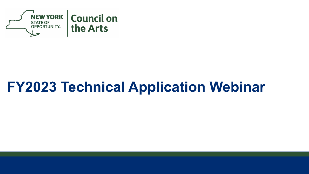

### **FY2023 Technical Application Webinar**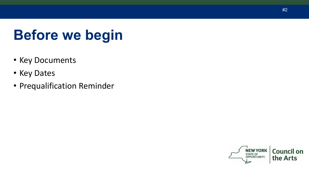# **Before we begin**

- Key Documents
- Key Dates
- Prequalification Reminder

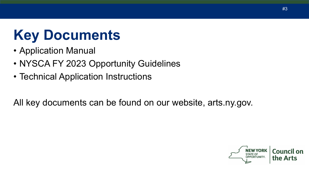# **Key Documents**

- Application Manual
- NYSCA FY 2023 Opportunity Guidelines
- Technical Application Instructions

All key documents can be found on our website, arts.ny.gov.

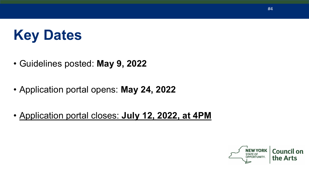# **Key Dates**

- Guidelines posted: **May 9, 2022**
- Application portal opens: **May 24, 2022**
- Application portal closes: **July 12, 2022, at 4PM**

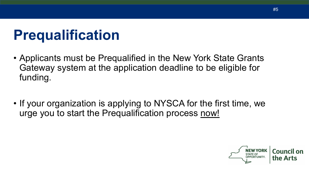# **Prequalification**

- Applicants must be Prequalified in the New York State Grants Gateway system at the application deadline to be eligible for funding.
- If your organization is applying to NYSCA for the first time, we urge you to start the Prequalification process now!

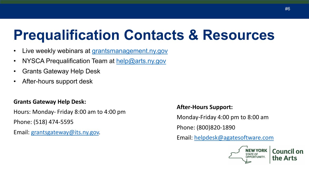### **Prequalification Contacts & Resources**

- Live weekly webinars at [grantsmanagement.ny.gov](https://grantsmanagement.ny.gov/)
- NYSCA Prequalification Team at [help@arts.ny.gov](mailto:help@arts.ny.gov)
- Grants Gateway Help Desk
- After-hours support desk

#### **Grants Gateway Help Desk:**

Hours: Monday- Friday 8:00 am to 4:00 pm Phone: (518) 474-5595

Email: [grantsgateway@its.ny.gov.](mailto:grantsgateway@its.ny.gov)

#### **After-Hours Support:**

Monday-Friday 4:00 pm to 8:00 am

Phone: (800)820-1890

Email: [helpdesk@agatesoftware.com](mailto:helpdesk@agatesoftware.com)

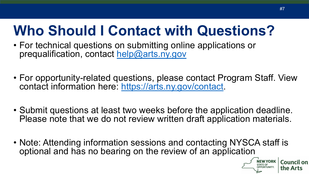## **Who Should I Contact with Questions?**

- For technical questions on submitting online applications or prequalification, contact [help@arts.ny.gov](mailto:help@arts.ny.gov)
- For opportunity-related questions, please contact Program Staff. View contact information here: <https://arts.ny.gov/contact>.
- Submit questions at least two weeks before the application deadline. Please note that we do not review written draft application materials.
- Note: Attending information sessions and contacting NYSCA staff is optional and has no bearing on the review of an application

**NEW YORK**